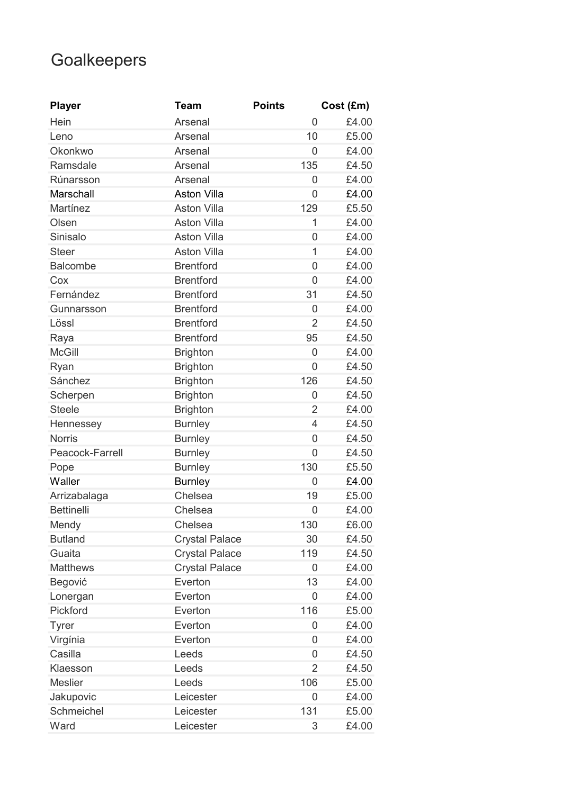## **Goalkeepers**

| <b>Player</b>     | <b>Team</b>           | <b>Points</b>  | Cost (£m) |
|-------------------|-----------------------|----------------|-----------|
| Hein              | Arsenal               | 0              | £4.00     |
| Leno              | Arsenal               | 10             | £5.00     |
| Okonkwo           | Arsenal               | 0              | £4.00     |
| Ramsdale          | Arsenal               | 135            | £4.50     |
| Rúnarsson         | Arsenal               | 0              | £4.00     |
| Marschall         | <b>Aston Villa</b>    | 0              | £4.00     |
| Martínez          | <b>Aston Villa</b>    | 129            | £5.50     |
| Olsen             | <b>Aston Villa</b>    | 1              | £4.00     |
| Sinisalo          | <b>Aston Villa</b>    | $\overline{0}$ | £4.00     |
| <b>Steer</b>      | <b>Aston Villa</b>    | 1              | £4.00     |
| <b>Balcombe</b>   | <b>Brentford</b>      | $\overline{0}$ | £4.00     |
| Cox               | <b>Brentford</b>      | 0              | £4.00     |
| Fernández         | <b>Brentford</b>      | 31             | £4.50     |
| Gunnarsson        | <b>Brentford</b>      | 0              | £4.00     |
| Lössl             | <b>Brentford</b>      | $\overline{2}$ | £4.50     |
| Raya              | <b>Brentford</b>      | 95             | £4.50     |
| <b>McGill</b>     | <b>Brighton</b>       | 0              | £4.00     |
| Ryan              | <b>Brighton</b>       | 0              | £4.50     |
| Sánchez           | <b>Brighton</b>       | 126            | £4.50     |
| Scherpen          | <b>Brighton</b>       | 0              | £4.50     |
| <b>Steele</b>     | <b>Brighton</b>       | $\overline{2}$ | £4.00     |
| Hennessey         | <b>Burnley</b>        | $\overline{4}$ | £4.50     |
| <b>Norris</b>     | <b>Burnley</b>        | 0              | £4.50     |
| Peacock-Farrell   | <b>Burnley</b>        | $\overline{0}$ | £4.50     |
| Pope              | <b>Burnley</b>        | 130            | £5.50     |
| Waller            | <b>Burnley</b>        | 0              | £4.00     |
| Arrizabalaga      | Chelsea               | 19             | £5.00     |
| <b>Bettinelli</b> | Chelsea               | 0              | £4.00     |
| Mendy             | Chelsea               | 130            | £6.00     |
| <b>Butland</b>    | <b>Crystal Palace</b> | 30             | £4.50     |
| Guaita            | <b>Crystal Palace</b> | 119            | £4.50     |
| <b>Matthews</b>   | <b>Crystal Palace</b> | 0              | £4.00     |
| Begović           | Everton               | 13             | £4.00     |
| Lonergan          | Everton               | 0              | £4.00     |
| Pickford          | Everton               | 116            | £5.00     |
| <b>Tyrer</b>      | Everton               | 0              | £4.00     |
| Virgínia          | Everton               | 0              | £4.00     |
| Casilla           | Leeds                 | 0              | £4.50     |
| Klaesson          | Leeds                 | $\overline{2}$ | £4.50     |
| <b>Meslier</b>    | Leeds                 | 106            | £5.00     |
| Jakupovic         | Leicester             | 0              | £4.00     |
| Schmeichel        | Leicester             | 131            | £5.00     |
| Ward              | Leicester             | 3              | £4.00     |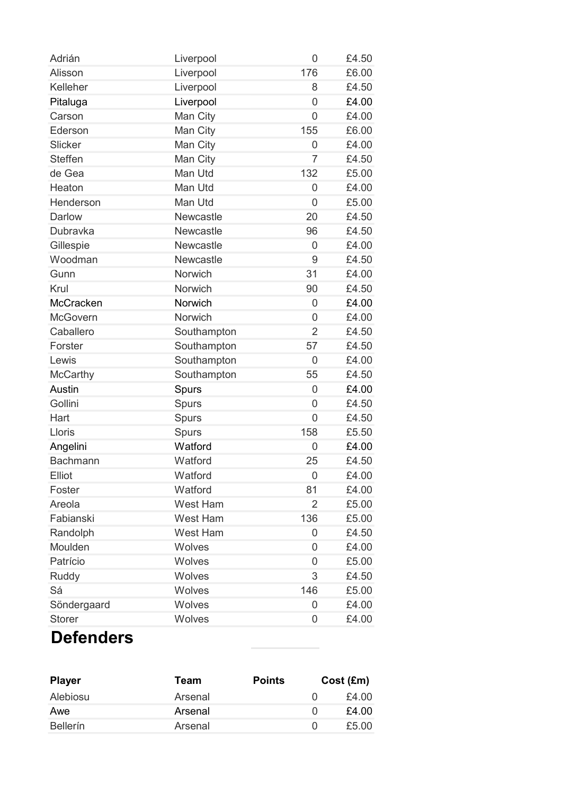| Adrián          | Liverpool        | 0              | £4.50 |
|-----------------|------------------|----------------|-------|
| Alisson         | Liverpool        | 176            | £6.00 |
| Kelleher        | Liverpool        | 8              | £4.50 |
| Pitaluga        | Liverpool        | 0              | £4.00 |
| Carson          | Man City         | $\overline{0}$ | £4.00 |
| Ederson         | Man City         | 155            | £6.00 |
| Slicker         | Man City         | 0              | £4.00 |
| <b>Steffen</b>  | Man City         | $\overline{7}$ | £4.50 |
| de Gea          | Man Utd          | 132            | £5.00 |
| Heaton          | Man Utd          | 0              | £4.00 |
| Henderson       | Man Utd          | $\overline{0}$ | £5.00 |
| <b>Darlow</b>   | Newcastle        | 20             | £4.50 |
| Dubravka        | Newcastle        | 96             | £4.50 |
| Gillespie       | Newcastle        | $\overline{0}$ | £4.00 |
| Woodman         | <b>Newcastle</b> | 9              | £4.50 |
| Gunn            | Norwich          | 31             | £4.00 |
| Krul            | Norwich          | 90             | £4.50 |
| McCracken       | Norwich          | 0              | £4.00 |
| <b>McGovern</b> | Norwich          | 0              | £4.00 |
| Caballero       | Southampton      | $\overline{2}$ | £4.50 |
| Forster         | Southampton      | 57             | £4.50 |
| Lewis           | Southampton      | 0              | £4.00 |
| <b>McCarthy</b> | Southampton      | 55             | £4.50 |
| Austin          | Spurs            | 0              | £4.00 |
| Gollini         | <b>Spurs</b>     | $\overline{0}$ | £4.50 |
| Hart            | <b>Spurs</b>     | 0              | £4.50 |
| Lloris          | Spurs            | 158            | £5.50 |
| Angelini        | Watford          | 0              | £4.00 |
| <b>Bachmann</b> | Watford          | 25             | £4.50 |
| <b>Elliot</b>   | Watford          | 0              | £4.00 |
| Foster          | Watford          | 81             | £4.00 |
| Areola          | West Ham         | 2              | £5.00 |
| Fabianski       | West Ham         | 136            | £5.00 |
| Randolph        | West Ham         | 0              | £4.50 |
| Moulden         | Wolves           | 0              | £4.00 |
| Patrício        | Wolves           | 0              | £5.00 |
| Ruddy           | Wolves           | 3              | £4.50 |
| Sá              | Wolves           | 146            | £5.00 |
| Söndergaard     | Wolves           | 0              | £4.00 |
| <b>Storer</b>   | Wolves           | 0              | £4.00 |

## **Defenders**

| Team    | <b>Points</b> | Cost (Em) |
|---------|---------------|-----------|
| Arsenal |               | £4.00     |
| Arsenal |               | £4.00     |
| Arsenal |               | £5.00     |
|         |               |           |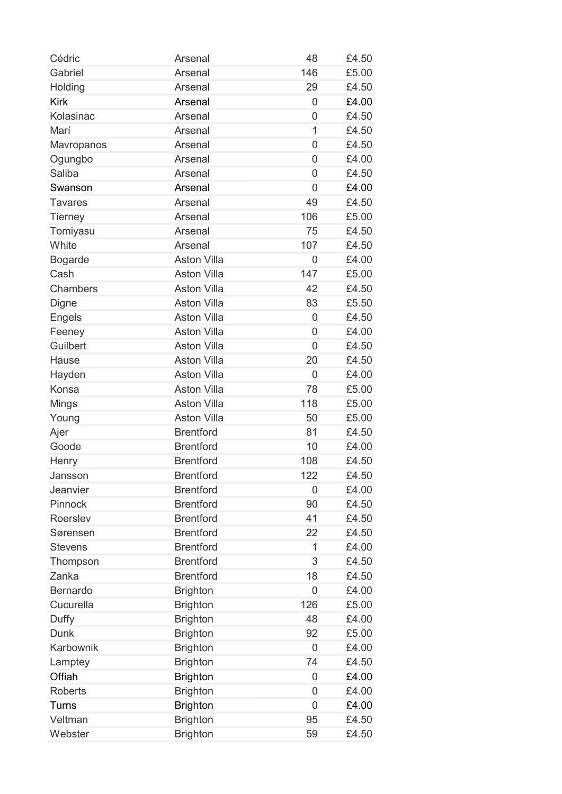| 146<br>Gabriel<br>£5.00<br>Arsenal<br>29<br>£4.50<br>Holding<br>Arsenal<br><b>Kirk</b><br>£4.00<br>Arsenal<br>0<br>Kolasinac<br>£4.50<br>Arsenal<br>$\overline{0}$<br>Marí<br>£4.50<br>Arsenal<br>1<br>£4.50<br>Arsenal<br>$\overline{0}$<br>Mavropanos<br>£4.00<br>Ogungbo<br>Arsenal<br>$\overline{0}$<br><b>Saliba</b><br>Arsenal<br>£4.50<br>$\overline{0}$<br>£4.00<br>Swanson<br>Arsenal<br>0<br>Arsenal<br>£4.50<br><b>Tavares</b><br>49<br>106<br><b>Tierney</b><br>Arsenal<br>£5.00<br>Tomiyasu<br>Arsenal<br>75<br>£4.50<br>White<br>Arsenal<br>107<br>£4.50<br><b>Aston Villa</b><br>0<br>£4.00<br>Bogarde<br>Cash<br><b>Aston Villa</b><br>147<br>£5.00<br>£4.50<br><b>Chambers</b><br><b>Aston Villa</b><br>42<br><b>Aston Villa</b><br>83<br>£5.50<br>Digne<br><b>Engels</b><br><b>Aston Villa</b><br>£4.50<br>0<br>Feeney<br><b>Aston Villa</b><br>£4.00<br>$\overline{0}$<br>Guilbert<br><b>Aston Villa</b><br>£4.50<br>0<br><b>Aston Villa</b><br>20<br>£4.50<br>Hause<br><b>Aston Villa</b><br>Hayden<br>0<br>£4.00<br>78<br>Konsa<br><b>Aston Villa</b><br>£5.00<br><b>Aston Villa</b><br>Mings<br>118<br>£5.00<br><b>Aston Villa</b><br>50<br>£5.00<br>Young<br><b>Brentford</b><br>81<br>Ajer<br>£4.50<br>Goode<br><b>Brentford</b><br>10<br>£4.00<br><b>Brentford</b><br>£4.50<br>108<br>Henry<br><b>Brentford</b><br>122<br>£4.50<br>Jansson<br>Jeanvier<br><b>Brentford</b><br>£4.00<br>$\overline{0}$<br>Pinnock<br><b>Brentford</b><br>90<br>£4.50<br><b>Brentford</b><br>41<br>Roerslev<br>£4.50<br><b>Brentford</b><br>22<br>£4.50<br>Sørensen<br><b>Brentford</b><br>1<br>£4.00<br><b>Stevens</b><br><b>Brentford</b><br>3<br>£4.50<br>Thompson<br><b>Brentford</b><br>18<br>Zanka<br>£4.50<br>Bernardo<br><b>Brighton</b><br>£4.00<br>$\overline{0}$<br>Cucurella<br>126<br><b>Brighton</b><br>£5.00<br>Duffy<br><b>Brighton</b><br>48<br>£4.00<br><b>Dunk</b><br><b>Brighton</b><br>92<br>£5.00<br>Karbownik<br>£4.00<br><b>Brighton</b><br>$\overline{0}$<br><b>Brighton</b><br>74<br>£4.50<br>Lamptey<br>Offiah<br>£4.00<br><b>Brighton</b><br>0<br><b>Roberts</b><br><b>Brighton</b><br>£4.00<br>0<br><b>Brighton</b><br>$\overline{0}$<br>£4.00<br><b>Turns</b><br><b>Brighton</b><br>Veltman<br>95<br>£4.50 | Cédric  | Arsenal         | 48 | £4.50 |
|-------------------------------------------------------------------------------------------------------------------------------------------------------------------------------------------------------------------------------------------------------------------------------------------------------------------------------------------------------------------------------------------------------------------------------------------------------------------------------------------------------------------------------------------------------------------------------------------------------------------------------------------------------------------------------------------------------------------------------------------------------------------------------------------------------------------------------------------------------------------------------------------------------------------------------------------------------------------------------------------------------------------------------------------------------------------------------------------------------------------------------------------------------------------------------------------------------------------------------------------------------------------------------------------------------------------------------------------------------------------------------------------------------------------------------------------------------------------------------------------------------------------------------------------------------------------------------------------------------------------------------------------------------------------------------------------------------------------------------------------------------------------------------------------------------------------------------------------------------------------------------------------------------------------------------------------------------------------------------------------------------------------------------------------------------------------------------------------------------------------------------------------------------------------------------------------------------------------------------------------------|---------|-----------------|----|-------|
|                                                                                                                                                                                                                                                                                                                                                                                                                                                                                                                                                                                                                                                                                                                                                                                                                                                                                                                                                                                                                                                                                                                                                                                                                                                                                                                                                                                                                                                                                                                                                                                                                                                                                                                                                                                                                                                                                                                                                                                                                                                                                                                                                                                                                                                 |         |                 |    |       |
|                                                                                                                                                                                                                                                                                                                                                                                                                                                                                                                                                                                                                                                                                                                                                                                                                                                                                                                                                                                                                                                                                                                                                                                                                                                                                                                                                                                                                                                                                                                                                                                                                                                                                                                                                                                                                                                                                                                                                                                                                                                                                                                                                                                                                                                 |         |                 |    |       |
|                                                                                                                                                                                                                                                                                                                                                                                                                                                                                                                                                                                                                                                                                                                                                                                                                                                                                                                                                                                                                                                                                                                                                                                                                                                                                                                                                                                                                                                                                                                                                                                                                                                                                                                                                                                                                                                                                                                                                                                                                                                                                                                                                                                                                                                 |         |                 |    |       |
|                                                                                                                                                                                                                                                                                                                                                                                                                                                                                                                                                                                                                                                                                                                                                                                                                                                                                                                                                                                                                                                                                                                                                                                                                                                                                                                                                                                                                                                                                                                                                                                                                                                                                                                                                                                                                                                                                                                                                                                                                                                                                                                                                                                                                                                 |         |                 |    |       |
|                                                                                                                                                                                                                                                                                                                                                                                                                                                                                                                                                                                                                                                                                                                                                                                                                                                                                                                                                                                                                                                                                                                                                                                                                                                                                                                                                                                                                                                                                                                                                                                                                                                                                                                                                                                                                                                                                                                                                                                                                                                                                                                                                                                                                                                 |         |                 |    |       |
|                                                                                                                                                                                                                                                                                                                                                                                                                                                                                                                                                                                                                                                                                                                                                                                                                                                                                                                                                                                                                                                                                                                                                                                                                                                                                                                                                                                                                                                                                                                                                                                                                                                                                                                                                                                                                                                                                                                                                                                                                                                                                                                                                                                                                                                 |         |                 |    |       |
|                                                                                                                                                                                                                                                                                                                                                                                                                                                                                                                                                                                                                                                                                                                                                                                                                                                                                                                                                                                                                                                                                                                                                                                                                                                                                                                                                                                                                                                                                                                                                                                                                                                                                                                                                                                                                                                                                                                                                                                                                                                                                                                                                                                                                                                 |         |                 |    |       |
|                                                                                                                                                                                                                                                                                                                                                                                                                                                                                                                                                                                                                                                                                                                                                                                                                                                                                                                                                                                                                                                                                                                                                                                                                                                                                                                                                                                                                                                                                                                                                                                                                                                                                                                                                                                                                                                                                                                                                                                                                                                                                                                                                                                                                                                 |         |                 |    |       |
|                                                                                                                                                                                                                                                                                                                                                                                                                                                                                                                                                                                                                                                                                                                                                                                                                                                                                                                                                                                                                                                                                                                                                                                                                                                                                                                                                                                                                                                                                                                                                                                                                                                                                                                                                                                                                                                                                                                                                                                                                                                                                                                                                                                                                                                 |         |                 |    |       |
|                                                                                                                                                                                                                                                                                                                                                                                                                                                                                                                                                                                                                                                                                                                                                                                                                                                                                                                                                                                                                                                                                                                                                                                                                                                                                                                                                                                                                                                                                                                                                                                                                                                                                                                                                                                                                                                                                                                                                                                                                                                                                                                                                                                                                                                 |         |                 |    |       |
|                                                                                                                                                                                                                                                                                                                                                                                                                                                                                                                                                                                                                                                                                                                                                                                                                                                                                                                                                                                                                                                                                                                                                                                                                                                                                                                                                                                                                                                                                                                                                                                                                                                                                                                                                                                                                                                                                                                                                                                                                                                                                                                                                                                                                                                 |         |                 |    |       |
|                                                                                                                                                                                                                                                                                                                                                                                                                                                                                                                                                                                                                                                                                                                                                                                                                                                                                                                                                                                                                                                                                                                                                                                                                                                                                                                                                                                                                                                                                                                                                                                                                                                                                                                                                                                                                                                                                                                                                                                                                                                                                                                                                                                                                                                 |         |                 |    |       |
|                                                                                                                                                                                                                                                                                                                                                                                                                                                                                                                                                                                                                                                                                                                                                                                                                                                                                                                                                                                                                                                                                                                                                                                                                                                                                                                                                                                                                                                                                                                                                                                                                                                                                                                                                                                                                                                                                                                                                                                                                                                                                                                                                                                                                                                 |         |                 |    |       |
|                                                                                                                                                                                                                                                                                                                                                                                                                                                                                                                                                                                                                                                                                                                                                                                                                                                                                                                                                                                                                                                                                                                                                                                                                                                                                                                                                                                                                                                                                                                                                                                                                                                                                                                                                                                                                                                                                                                                                                                                                                                                                                                                                                                                                                                 |         |                 |    |       |
|                                                                                                                                                                                                                                                                                                                                                                                                                                                                                                                                                                                                                                                                                                                                                                                                                                                                                                                                                                                                                                                                                                                                                                                                                                                                                                                                                                                                                                                                                                                                                                                                                                                                                                                                                                                                                                                                                                                                                                                                                                                                                                                                                                                                                                                 |         |                 |    |       |
|                                                                                                                                                                                                                                                                                                                                                                                                                                                                                                                                                                                                                                                                                                                                                                                                                                                                                                                                                                                                                                                                                                                                                                                                                                                                                                                                                                                                                                                                                                                                                                                                                                                                                                                                                                                                                                                                                                                                                                                                                                                                                                                                                                                                                                                 |         |                 |    |       |
|                                                                                                                                                                                                                                                                                                                                                                                                                                                                                                                                                                                                                                                                                                                                                                                                                                                                                                                                                                                                                                                                                                                                                                                                                                                                                                                                                                                                                                                                                                                                                                                                                                                                                                                                                                                                                                                                                                                                                                                                                                                                                                                                                                                                                                                 |         |                 |    |       |
|                                                                                                                                                                                                                                                                                                                                                                                                                                                                                                                                                                                                                                                                                                                                                                                                                                                                                                                                                                                                                                                                                                                                                                                                                                                                                                                                                                                                                                                                                                                                                                                                                                                                                                                                                                                                                                                                                                                                                                                                                                                                                                                                                                                                                                                 |         |                 |    |       |
|                                                                                                                                                                                                                                                                                                                                                                                                                                                                                                                                                                                                                                                                                                                                                                                                                                                                                                                                                                                                                                                                                                                                                                                                                                                                                                                                                                                                                                                                                                                                                                                                                                                                                                                                                                                                                                                                                                                                                                                                                                                                                                                                                                                                                                                 |         |                 |    |       |
|                                                                                                                                                                                                                                                                                                                                                                                                                                                                                                                                                                                                                                                                                                                                                                                                                                                                                                                                                                                                                                                                                                                                                                                                                                                                                                                                                                                                                                                                                                                                                                                                                                                                                                                                                                                                                                                                                                                                                                                                                                                                                                                                                                                                                                                 |         |                 |    |       |
|                                                                                                                                                                                                                                                                                                                                                                                                                                                                                                                                                                                                                                                                                                                                                                                                                                                                                                                                                                                                                                                                                                                                                                                                                                                                                                                                                                                                                                                                                                                                                                                                                                                                                                                                                                                                                                                                                                                                                                                                                                                                                                                                                                                                                                                 |         |                 |    |       |
|                                                                                                                                                                                                                                                                                                                                                                                                                                                                                                                                                                                                                                                                                                                                                                                                                                                                                                                                                                                                                                                                                                                                                                                                                                                                                                                                                                                                                                                                                                                                                                                                                                                                                                                                                                                                                                                                                                                                                                                                                                                                                                                                                                                                                                                 |         |                 |    |       |
|                                                                                                                                                                                                                                                                                                                                                                                                                                                                                                                                                                                                                                                                                                                                                                                                                                                                                                                                                                                                                                                                                                                                                                                                                                                                                                                                                                                                                                                                                                                                                                                                                                                                                                                                                                                                                                                                                                                                                                                                                                                                                                                                                                                                                                                 |         |                 |    |       |
|                                                                                                                                                                                                                                                                                                                                                                                                                                                                                                                                                                                                                                                                                                                                                                                                                                                                                                                                                                                                                                                                                                                                                                                                                                                                                                                                                                                                                                                                                                                                                                                                                                                                                                                                                                                                                                                                                                                                                                                                                                                                                                                                                                                                                                                 |         |                 |    |       |
|                                                                                                                                                                                                                                                                                                                                                                                                                                                                                                                                                                                                                                                                                                                                                                                                                                                                                                                                                                                                                                                                                                                                                                                                                                                                                                                                                                                                                                                                                                                                                                                                                                                                                                                                                                                                                                                                                                                                                                                                                                                                                                                                                                                                                                                 |         |                 |    |       |
|                                                                                                                                                                                                                                                                                                                                                                                                                                                                                                                                                                                                                                                                                                                                                                                                                                                                                                                                                                                                                                                                                                                                                                                                                                                                                                                                                                                                                                                                                                                                                                                                                                                                                                                                                                                                                                                                                                                                                                                                                                                                                                                                                                                                                                                 |         |                 |    |       |
|                                                                                                                                                                                                                                                                                                                                                                                                                                                                                                                                                                                                                                                                                                                                                                                                                                                                                                                                                                                                                                                                                                                                                                                                                                                                                                                                                                                                                                                                                                                                                                                                                                                                                                                                                                                                                                                                                                                                                                                                                                                                                                                                                                                                                                                 |         |                 |    |       |
|                                                                                                                                                                                                                                                                                                                                                                                                                                                                                                                                                                                                                                                                                                                                                                                                                                                                                                                                                                                                                                                                                                                                                                                                                                                                                                                                                                                                                                                                                                                                                                                                                                                                                                                                                                                                                                                                                                                                                                                                                                                                                                                                                                                                                                                 |         |                 |    |       |
|                                                                                                                                                                                                                                                                                                                                                                                                                                                                                                                                                                                                                                                                                                                                                                                                                                                                                                                                                                                                                                                                                                                                                                                                                                                                                                                                                                                                                                                                                                                                                                                                                                                                                                                                                                                                                                                                                                                                                                                                                                                                                                                                                                                                                                                 |         |                 |    |       |
|                                                                                                                                                                                                                                                                                                                                                                                                                                                                                                                                                                                                                                                                                                                                                                                                                                                                                                                                                                                                                                                                                                                                                                                                                                                                                                                                                                                                                                                                                                                                                                                                                                                                                                                                                                                                                                                                                                                                                                                                                                                                                                                                                                                                                                                 |         |                 |    |       |
|                                                                                                                                                                                                                                                                                                                                                                                                                                                                                                                                                                                                                                                                                                                                                                                                                                                                                                                                                                                                                                                                                                                                                                                                                                                                                                                                                                                                                                                                                                                                                                                                                                                                                                                                                                                                                                                                                                                                                                                                                                                                                                                                                                                                                                                 |         |                 |    |       |
|                                                                                                                                                                                                                                                                                                                                                                                                                                                                                                                                                                                                                                                                                                                                                                                                                                                                                                                                                                                                                                                                                                                                                                                                                                                                                                                                                                                                                                                                                                                                                                                                                                                                                                                                                                                                                                                                                                                                                                                                                                                                                                                                                                                                                                                 |         |                 |    |       |
|                                                                                                                                                                                                                                                                                                                                                                                                                                                                                                                                                                                                                                                                                                                                                                                                                                                                                                                                                                                                                                                                                                                                                                                                                                                                                                                                                                                                                                                                                                                                                                                                                                                                                                                                                                                                                                                                                                                                                                                                                                                                                                                                                                                                                                                 |         |                 |    |       |
|                                                                                                                                                                                                                                                                                                                                                                                                                                                                                                                                                                                                                                                                                                                                                                                                                                                                                                                                                                                                                                                                                                                                                                                                                                                                                                                                                                                                                                                                                                                                                                                                                                                                                                                                                                                                                                                                                                                                                                                                                                                                                                                                                                                                                                                 |         |                 |    |       |
|                                                                                                                                                                                                                                                                                                                                                                                                                                                                                                                                                                                                                                                                                                                                                                                                                                                                                                                                                                                                                                                                                                                                                                                                                                                                                                                                                                                                                                                                                                                                                                                                                                                                                                                                                                                                                                                                                                                                                                                                                                                                                                                                                                                                                                                 |         |                 |    |       |
|                                                                                                                                                                                                                                                                                                                                                                                                                                                                                                                                                                                                                                                                                                                                                                                                                                                                                                                                                                                                                                                                                                                                                                                                                                                                                                                                                                                                                                                                                                                                                                                                                                                                                                                                                                                                                                                                                                                                                                                                                                                                                                                                                                                                                                                 |         |                 |    |       |
|                                                                                                                                                                                                                                                                                                                                                                                                                                                                                                                                                                                                                                                                                                                                                                                                                                                                                                                                                                                                                                                                                                                                                                                                                                                                                                                                                                                                                                                                                                                                                                                                                                                                                                                                                                                                                                                                                                                                                                                                                                                                                                                                                                                                                                                 |         |                 |    |       |
|                                                                                                                                                                                                                                                                                                                                                                                                                                                                                                                                                                                                                                                                                                                                                                                                                                                                                                                                                                                                                                                                                                                                                                                                                                                                                                                                                                                                                                                                                                                                                                                                                                                                                                                                                                                                                                                                                                                                                                                                                                                                                                                                                                                                                                                 |         |                 |    |       |
|                                                                                                                                                                                                                                                                                                                                                                                                                                                                                                                                                                                                                                                                                                                                                                                                                                                                                                                                                                                                                                                                                                                                                                                                                                                                                                                                                                                                                                                                                                                                                                                                                                                                                                                                                                                                                                                                                                                                                                                                                                                                                                                                                                                                                                                 |         |                 |    |       |
|                                                                                                                                                                                                                                                                                                                                                                                                                                                                                                                                                                                                                                                                                                                                                                                                                                                                                                                                                                                                                                                                                                                                                                                                                                                                                                                                                                                                                                                                                                                                                                                                                                                                                                                                                                                                                                                                                                                                                                                                                                                                                                                                                                                                                                                 |         |                 |    |       |
|                                                                                                                                                                                                                                                                                                                                                                                                                                                                                                                                                                                                                                                                                                                                                                                                                                                                                                                                                                                                                                                                                                                                                                                                                                                                                                                                                                                                                                                                                                                                                                                                                                                                                                                                                                                                                                                                                                                                                                                                                                                                                                                                                                                                                                                 |         |                 |    |       |
|                                                                                                                                                                                                                                                                                                                                                                                                                                                                                                                                                                                                                                                                                                                                                                                                                                                                                                                                                                                                                                                                                                                                                                                                                                                                                                                                                                                                                                                                                                                                                                                                                                                                                                                                                                                                                                                                                                                                                                                                                                                                                                                                                                                                                                                 |         |                 |    |       |
|                                                                                                                                                                                                                                                                                                                                                                                                                                                                                                                                                                                                                                                                                                                                                                                                                                                                                                                                                                                                                                                                                                                                                                                                                                                                                                                                                                                                                                                                                                                                                                                                                                                                                                                                                                                                                                                                                                                                                                                                                                                                                                                                                                                                                                                 |         |                 |    |       |
|                                                                                                                                                                                                                                                                                                                                                                                                                                                                                                                                                                                                                                                                                                                                                                                                                                                                                                                                                                                                                                                                                                                                                                                                                                                                                                                                                                                                                                                                                                                                                                                                                                                                                                                                                                                                                                                                                                                                                                                                                                                                                                                                                                                                                                                 |         |                 |    |       |
|                                                                                                                                                                                                                                                                                                                                                                                                                                                                                                                                                                                                                                                                                                                                                                                                                                                                                                                                                                                                                                                                                                                                                                                                                                                                                                                                                                                                                                                                                                                                                                                                                                                                                                                                                                                                                                                                                                                                                                                                                                                                                                                                                                                                                                                 |         |                 |    |       |
|                                                                                                                                                                                                                                                                                                                                                                                                                                                                                                                                                                                                                                                                                                                                                                                                                                                                                                                                                                                                                                                                                                                                                                                                                                                                                                                                                                                                                                                                                                                                                                                                                                                                                                                                                                                                                                                                                                                                                                                                                                                                                                                                                                                                                                                 |         |                 |    |       |
|                                                                                                                                                                                                                                                                                                                                                                                                                                                                                                                                                                                                                                                                                                                                                                                                                                                                                                                                                                                                                                                                                                                                                                                                                                                                                                                                                                                                                                                                                                                                                                                                                                                                                                                                                                                                                                                                                                                                                                                                                                                                                                                                                                                                                                                 | Webster | <b>Brighton</b> | 59 | £4.50 |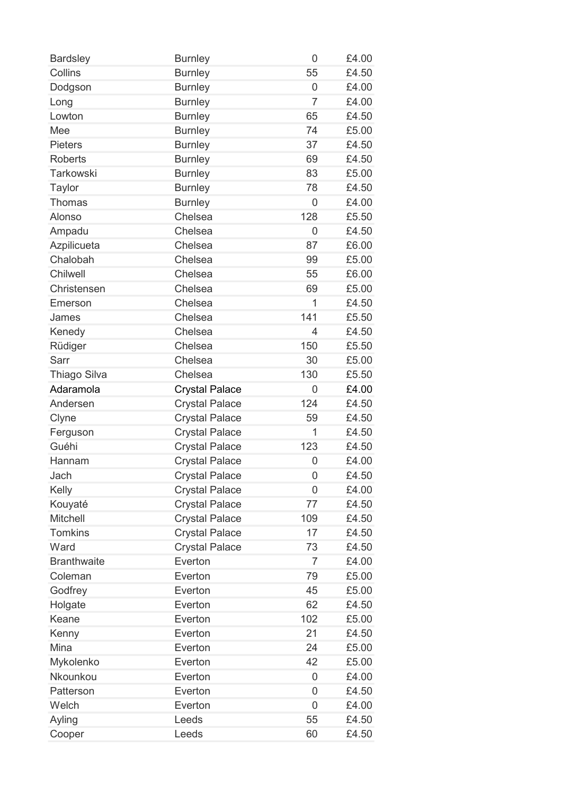| <b>Bardsley</b>    | <b>Burnley</b>        | 0           | £4.00 |
|--------------------|-----------------------|-------------|-------|
| Collins            | <b>Burnley</b>        | 55          | £4.50 |
| Dodgson            | <b>Burnley</b>        | 0           | £4.00 |
| Long               | <b>Burnley</b>        | 7           | £4.00 |
| Lowton             | <b>Burnley</b>        | 65          | £4.50 |
| Mee                | <b>Burnley</b>        | 74          | £5.00 |
| <b>Pieters</b>     | <b>Burnley</b>        | 37          | £4.50 |
| <b>Roberts</b>     | <b>Burnley</b>        | 69          | £4.50 |
| <b>Tarkowski</b>   | <b>Burnley</b>        | 83          | £5.00 |
| <b>Taylor</b>      | <b>Burnley</b>        | 78          | £4.50 |
| Thomas             | <b>Burnley</b>        | 0           | £4.00 |
| Alonso             | Chelsea               | 128         | £5.50 |
| Ampadu             | Chelsea               | 0           | £4.50 |
| Azpilicueta        | Chelsea               | 87          | £6.00 |
| Chalobah           | Chelsea               | 99          | £5.00 |
| Chilwell           | Chelsea               | 55          | £6.00 |
| Christensen        | Chelsea               | 69          | £5.00 |
| Emerson            | Chelsea               | 1           | £4.50 |
| James              | Chelsea               | 141         | £5.50 |
| Kenedy             | Chelsea               | 4           | £4.50 |
| Rüdiger            | Chelsea               | 150         | £5.50 |
| Sarr               | Chelsea               | 30          | £5.00 |
| Thiago Silva       | Chelsea               | 130         | £5.50 |
| Adaramola          | <b>Crystal Palace</b> | 0           | £4.00 |
| Andersen           | <b>Crystal Palace</b> | 124         | £4.50 |
| Clyne              | <b>Crystal Palace</b> | 59          | £4.50 |
| Ferguson           | <b>Crystal Palace</b> | 1           | £4.50 |
| Guéhi              | <b>Crystal Palace</b> | 123         | £4.50 |
| Hannam             | <b>Crystal Palace</b> | 0           | £4.00 |
| Jach               | <b>Crystal Palace</b> | $\mathbf 0$ | £4.50 |
| Kelly              | <b>Crystal Palace</b> | 0           | £4.00 |
| Kouyaté            | <b>Crystal Palace</b> | 77          | £4.50 |
| <b>Mitchell</b>    | <b>Crystal Palace</b> | 109         | £4.50 |
| <b>Tomkins</b>     | <b>Crystal Palace</b> | 17          | £4.50 |
| Ward               | <b>Crystal Palace</b> | 73          | £4.50 |
| <b>Branthwaite</b> | Everton               | 7           | £4.00 |
| Coleman            | Everton               | 79          | £5.00 |
| Godfrey            | Everton               | 45          | £5.00 |
| Holgate            | Everton               | 62          | £4.50 |
| Keane              | Everton               | 102         | £5.00 |
| Kenny              | Everton               | 21          | £4.50 |
| Mina               | Everton               | 24          | £5.00 |
| Mykolenko          | Everton               | 42          | £5.00 |
| Nkounkou           | Everton               | 0           | £4.00 |
| Patterson          | Everton               | 0           | £4.50 |
| Welch              | Everton               | 0           | £4.00 |
| Ayling             | Leeds                 | 55          | £4.50 |
| Cooper             | Leeds                 | 60          | £4.50 |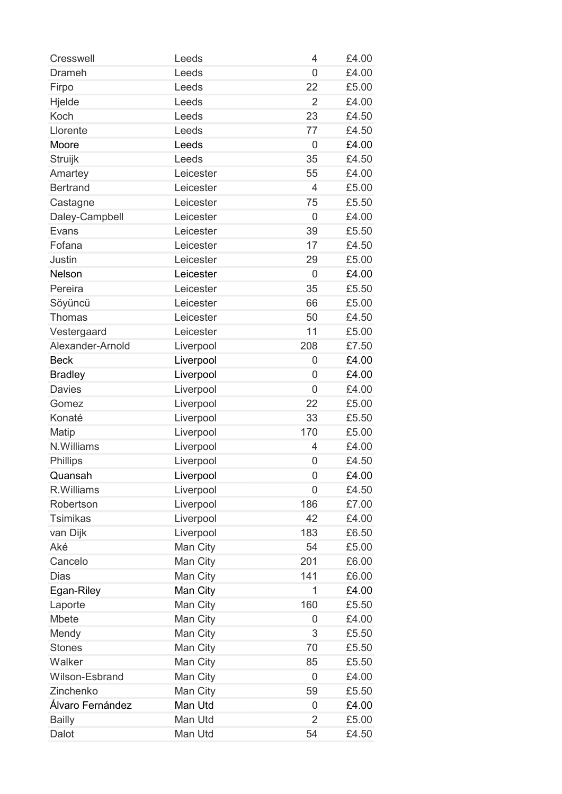| <b>Cresswell</b> | Leeds     | 4              | £4.00 |
|------------------|-----------|----------------|-------|
| <b>Drameh</b>    | Leeds     | $\overline{0}$ | £4.00 |
| Firpo            | Leeds     | 22             | £5.00 |
| Hjelde           | Leeds     | $\overline{2}$ | £4.00 |
| Koch             | Leeds     | 23             | £4.50 |
| Llorente         | Leeds     | 77             | £4.50 |
| Moore            | Leeds     | $\overline{0}$ | £4.00 |
| Struijk          | Leeds     | 35             | £4.50 |
| Amartey          | Leicester | 55             | £4.00 |
| <b>Bertrand</b>  | Leicester | 4              | £5.00 |
| Castagne         | Leicester | 75             | £5.50 |
| Daley-Campbell   | Leicester | 0              | £4.00 |
| Evans            | Leicester | 39             | £5.50 |
| Fofana           | Leicester | 17             | £4.50 |
| <b>Justin</b>    | Leicester | 29             | £5.00 |
| Nelson           | Leicester | $\overline{0}$ | £4.00 |
| Pereira          | Leicester | 35             | £5.50 |
| Söyüncü          | Leicester | 66             | £5.00 |
| <b>Thomas</b>    | Leicester | 50             | £4.50 |
| Vestergaard      | Leicester | 11             | £5.00 |
| Alexander-Arnold | Liverpool | 208            | £7.50 |
| <b>Beck</b>      | Liverpool | $\overline{0}$ | £4.00 |
| <b>Bradley</b>   | Liverpool | $\overline{0}$ | £4.00 |
| <b>Davies</b>    | Liverpool | $\overline{0}$ | £4.00 |
| Gomez            | Liverpool | 22             | £5.00 |
| Konaté           | Liverpool | 33             | £5.50 |
| Matip            | Liverpool | 170            | £5.00 |
| N.Williams       | Liverpool | 4              | £4.00 |
| Phillips         | Liverpool | 0              | £4.50 |
| Quansah          | Liverpool | $\overline{0}$ | £4.00 |
| R.Williams       | Liverpool | 0              | £4.50 |
| Robertson        | Liverpool | 186            | £7.00 |
| <b>Tsimikas</b>  | Liverpool | 42             | £4.00 |
| van Dijk         | Liverpool | 183            | £6.50 |
| Aké              | Man City  | 54             | £5.00 |
| Cancelo          | Man City  | 201            | £6.00 |
| <b>Dias</b>      | Man City  | 141            | £6.00 |
| Egan-Riley       | Man City  | 1              | £4.00 |
| Laporte          | Man City  | 160            | £5.50 |
| Mbete            | Man City  | 0              | £4.00 |
| Mendy            | Man City  | 3              | £5.50 |
| <b>Stones</b>    | Man City  | 70             | £5.50 |
| Walker           | Man City  | 85             | £5.50 |
| Wilson-Esbrand   | Man City  | 0              | £4.00 |
| Zinchenko        | Man City  | 59             | £5.50 |
| Álvaro Fernández | Man Utd   | 0              | £4.00 |
| <b>Bailly</b>    | Man Utd   | $\overline{2}$ | £5.00 |
| Dalot            | Man Utd   | 54             | £4.50 |
|                  |           |                |       |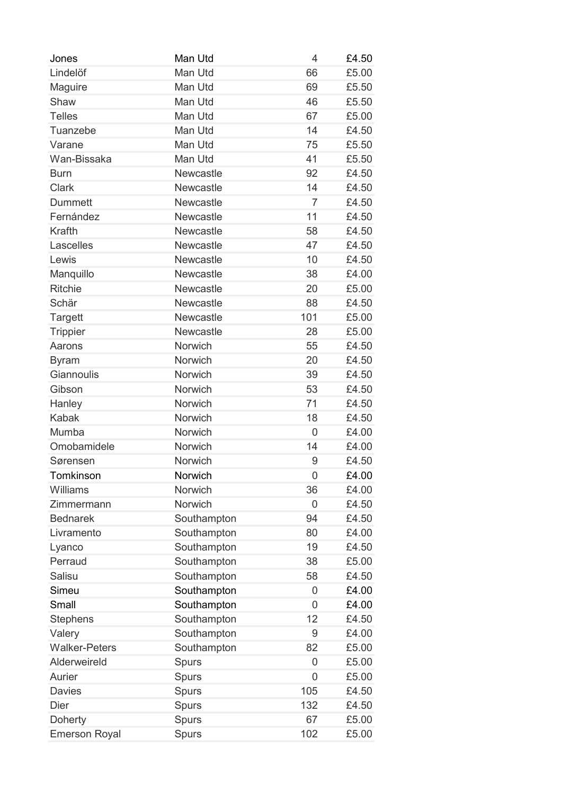| Jones                | Man Utd      | 4              | £4.50 |
|----------------------|--------------|----------------|-------|
| Lindelöf             | Man Utd      | 66             | £5.00 |
| Maguire              | Man Utd      | 69             | £5.50 |
| Shaw                 | Man Utd      | 46             | £5.50 |
| <b>Telles</b>        | Man Utd      | 67             | £5.00 |
| Tuanzebe             | Man Utd      | 14             | £4.50 |
| Varane               | Man Utd      | 75             | £5.50 |
| Wan-Bissaka          | Man Utd      | 41             | £5.50 |
| <b>Burn</b>          | Newcastle    | 92             | £4.50 |
| <b>Clark</b>         | Newcastle    | 14             | £4.50 |
| <b>Dummett</b>       | Newcastle    | $\overline{7}$ | £4.50 |
| Fernández            | Newcastle    | 11             | £4.50 |
| <b>Krafth</b>        | Newcastle    | 58             | £4.50 |
| Lascelles            | Newcastle    | 47             | £4.50 |
| Lewis                | Newcastle    | 10             | £4.50 |
| Manquillo            | Newcastle    | 38             | £4.00 |
| <b>Ritchie</b>       | Newcastle    | 20             | £5.00 |
| Schär                | Newcastle    | 88             | £4.50 |
| <b>Targett</b>       | Newcastle    | 101            | £5.00 |
| <b>Trippier</b>      | Newcastle    | 28             | £5.00 |
| Aarons               | Norwich      | 55             | £4.50 |
| <b>Byram</b>         | Norwich      | 20             | £4.50 |
| Giannoulis           | Norwich      | 39             | £4.50 |
| Gibson               | Norwich      | 53             | £4.50 |
| Hanley               | Norwich      | 71             | £4.50 |
| <b>Kabak</b>         | Norwich      | 18             | £4.50 |
| Mumba                | Norwich      | 0              | £4.00 |
| Omobamidele          | Norwich      | 14             | £4.00 |
| Sørensen             | Norwich      | 9              | £4.50 |
| Tomkinson            | Norwich      | $\overline{0}$ | £4.00 |
| Williams             | Norwich      | 36             | £4.00 |
| Zimmermann           | Norwich      | 0              | £4.50 |
| <b>Bednarek</b>      | Southampton  | 94             | £4.50 |
| Livramento           | Southampton  | 80             | £4.00 |
| Lyanco               | Southampton  | 19             | £4.50 |
| Perraud              | Southampton  | 38             | £5.00 |
| Salisu               | Southampton  | 58             | £4.50 |
| Simeu                | Southampton  | 0              | £4.00 |
| Small                | Southampton  | 0              | £4.00 |
| <b>Stephens</b>      | Southampton  | 12             | £4.50 |
| Valery               | Southampton  | 9              | £4.00 |
| <b>Walker-Peters</b> |              | 82             | £5.00 |
| Alderweireld         | Southampton  |                |       |
|                      | <b>Spurs</b> | 0              | £5.00 |
| Aurier               | <b>Spurs</b> | $\overline{0}$ | £5.00 |
| <b>Davies</b>        | <b>Spurs</b> | 105            | £4.50 |
| <b>Dier</b>          | Spurs        | 132            | £4.50 |
| <b>Doherty</b>       | <b>Spurs</b> | 67             | £5.00 |
| <b>Emerson Royal</b> | <b>Spurs</b> | 102            | £5.00 |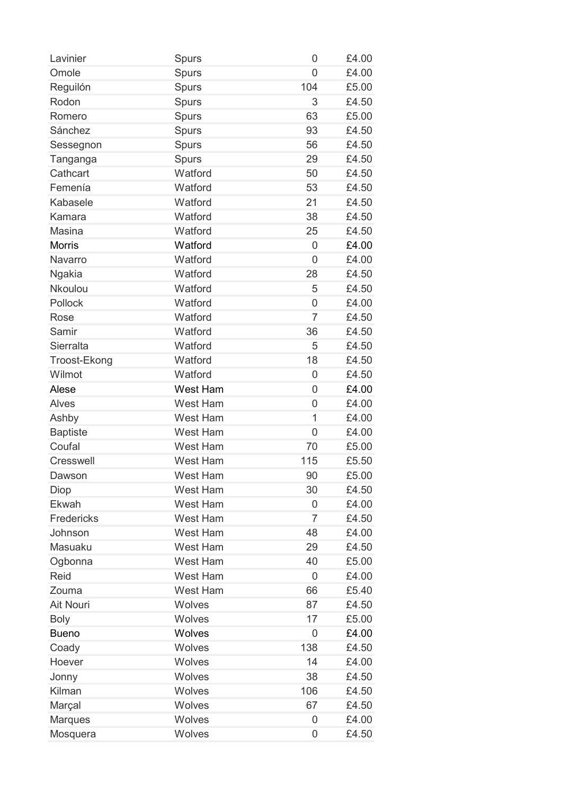| Lavinier         | <b>Spurs</b>    | 0              | £4.00 |
|------------------|-----------------|----------------|-------|
| Omole            | Spurs           | 0              | £4.00 |
| Reguilón         | Spurs           | 104            | £5.00 |
| Rodon            | Spurs           | 3              | £4.50 |
| Romero           | Spurs           | 63             | £5.00 |
| Sánchez          | Spurs           | 93             | £4.50 |
| Sessegnon        | Spurs           | 56             | £4.50 |
| Tanganga         | <b>Spurs</b>    | 29             | £4.50 |
| Cathcart         | Watford         | 50             | £4.50 |
| Femenía          | Watford         | 53             | £4.50 |
| Kabasele         | Watford         | 21             | £4.50 |
| Kamara           | Watford         | 38             | £4.50 |
| <b>Masina</b>    | Watford         | 25             | £4.50 |
| <b>Morris</b>    | Watford         | 0              | £4.00 |
| Navarro          | Watford         | 0              | £4.00 |
| Ngakia           | Watford         | 28             | £4.50 |
| Nkoulou          | Watford         | 5              | £4.50 |
| Pollock          | Watford         | 0              | £4.00 |
| Rose             | Watford         | $\overline{7}$ | £4.50 |
| Samir            | Watford         | 36             | £4.50 |
| Sierralta        | Watford         | 5              | £4.50 |
| Troost-Ekong     | Watford         | 18             | £4.50 |
| Wilmot           | Watford         | 0              | £4.50 |
| Alese            | West Ham        | $\overline{0}$ | £4.00 |
|                  | <b>West Ham</b> |                |       |
| <b>Alves</b>     |                 | 0              | £4.00 |
| Ashby            | <b>West Ham</b> | 1              | £4.00 |
| <b>Baptiste</b>  | <b>West Ham</b> | $\mathbf 0$    | £4.00 |
| Coufal           | <b>West Ham</b> | 70             | £5.00 |
| <b>Cresswell</b> | <b>West Ham</b> | 115            | £5.50 |
| Dawson           | West Ham        | 90             | £5.00 |
| Diop             | West Ham        | 30             | £4.50 |
| Ekwah            | <b>West Ham</b> | 0              | £4.00 |
| Fredericks       | West Ham        | $\overline{7}$ | £4.50 |
| Johnson          | <b>West Ham</b> | 48             | £4.00 |
| Masuaku          | <b>West Ham</b> | 29             | £4.50 |
| Ogbonna          | West Ham        | 40             | £5.00 |
| Reid             | West Ham        | 0              | £4.00 |
| Zouma            | <b>West Ham</b> | 66             | £5.40 |
| <b>Ait Nouri</b> | <b>Wolves</b>   | 87             | £4.50 |
| <b>Boly</b>      | <b>Wolves</b>   | 17             | £5.00 |
| <b>Bueno</b>     | <b>Wolves</b>   | 0              | £4.00 |
| Coady            | Wolves          | 138            | £4.50 |
| Hoever           | Wolves          | 14             | £4.00 |
| Jonny            | <b>Wolves</b>   | 38             | £4.50 |
| Kilman           | Wolves          | 106            | £4.50 |
| Marçal           | Wolves          | 67             | £4.50 |
| <b>Marques</b>   | Wolves          | 0              | £4.00 |
| Mosquera         | Wolves          | 0              | £4.50 |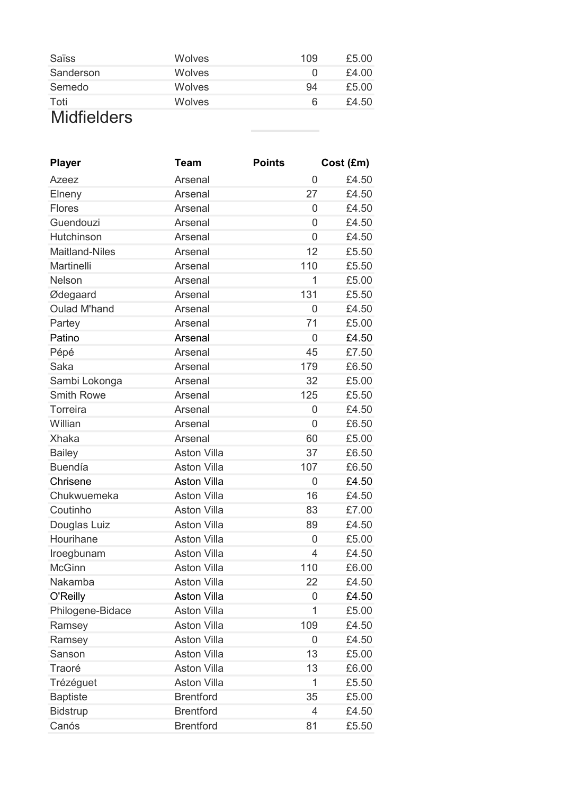| Saïss              | Wolves | 109 | £5.00 |
|--------------------|--------|-----|-------|
| Sanderson          | Wolves |     | £4.00 |
| Semedo             | Wolves | 94  | £5.00 |
| Toti               | Wolves | 6   | £4.50 |
| <b>Midfielders</b> |        |     |       |

and the

| <b>Player</b>         | <b>Team</b>        | <b>Points</b> | Cost (Em) |
|-----------------------|--------------------|---------------|-----------|
| Azeez                 | Arsenal            | 0             | £4.50     |
| Elneny                | Arsenal            | 27            | £4.50     |
| <b>Flores</b>         | Arsenal            | 0             | £4.50     |
| Guendouzi             | Arsenal            | 0             | £4.50     |
| Hutchinson            | Arsenal            | 0             | £4.50     |
| <b>Maitland-Niles</b> | Arsenal            | 12            | £5.50     |
| Martinelli            | Arsenal            | 110           | £5.50     |
| Nelson                | Arsenal            | 1             | £5.00     |
| Ødegaard              | Arsenal            | 131           | £5.50     |
| <b>Oulad M'hand</b>   | Arsenal            | 0             | £4.50     |
| Partey                | Arsenal            | 71            | £5.00     |
| Patino                | Arsenal            | 0             | £4.50     |
| Pépé                  | Arsenal            | 45            | £7.50     |
| Saka                  | Arsenal            | 179           | £6.50     |
| Sambi Lokonga         | Arsenal            | 32            | £5.00     |
| <b>Smith Rowe</b>     | Arsenal            | 125           | £5.50     |
| Torreira              | Arsenal            | 0             | £4.50     |
| Willian               | Arsenal            | 0             | £6.50     |
| <b>Xhaka</b>          | Arsenal            | 60            | £5.00     |
| <b>Bailey</b>         | <b>Aston Villa</b> | 37            | £6.50     |
| <b>Buendía</b>        | <b>Aston Villa</b> | 107           | £6.50     |
| Chrisene              | <b>Aston Villa</b> | 0             | £4.50     |
| Chukwuemeka           | <b>Aston Villa</b> | 16            | £4.50     |
| Coutinho              | <b>Aston Villa</b> | 83            | £7.00     |
| Douglas Luiz          | <b>Aston Villa</b> | 89            | £4.50     |
| Hourihane             | <b>Aston Villa</b> | 0             | £5.00     |
| Iroegbunam            | <b>Aston Villa</b> | 4             | £4.50     |
| <b>McGinn</b>         | <b>Aston Villa</b> | 110           | £6.00     |
| Nakamba               | <b>Aston Villa</b> | 22            | £4.50     |
| O'Reilly              | <b>Aston Villa</b> | 0             | £4.50     |
| Philogene-Bidace      | <b>Aston Villa</b> | 1             | £5.00     |
| Ramsey                | <b>Aston Villa</b> | 109           | £4.50     |
| Ramsey                | <b>Aston Villa</b> | 0             | £4.50     |
| Sanson                | <b>Aston Villa</b> | 13            | £5.00     |
| Traoré                | <b>Aston Villa</b> | 13            | £6.00     |
| Trézéguet             | <b>Aston Villa</b> | 1             | £5.50     |
| <b>Baptiste</b>       | <b>Brentford</b>   | 35            | £5.00     |
| <b>Bidstrup</b>       | <b>Brentford</b>   | 4             | £4.50     |
| Canós                 | <b>Brentford</b>   | 81            | £5.50     |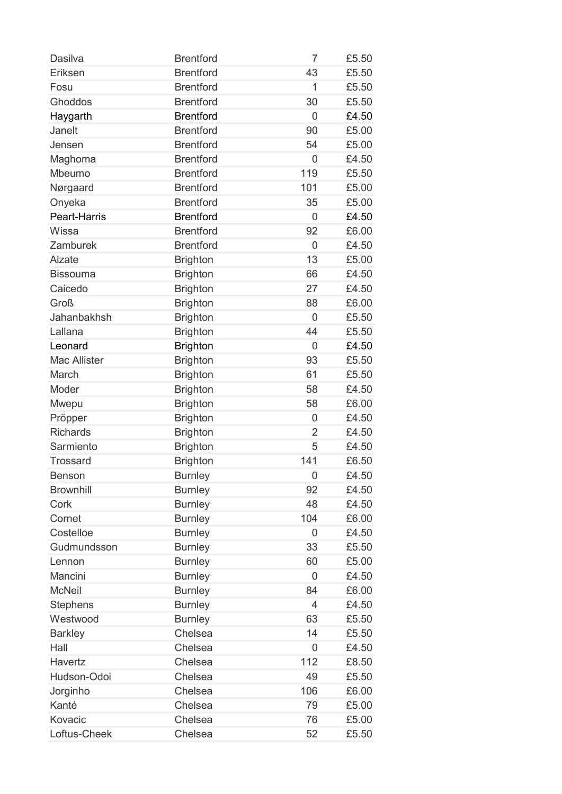| <b>Brentford</b><br>Eriksen<br>43<br><b>Brentford</b><br>Fosu<br>1<br>£5.50 | £5.50 |
|-----------------------------------------------------------------------------|-------|
|                                                                             |       |
|                                                                             |       |
| <b>Brentford</b><br>Ghoddos<br>30                                           | £5.50 |
| <b>Brentford</b><br>Haygarth<br>$\overline{0}$                              | £4.50 |
| <b>Brentford</b><br>Janelt<br>90                                            | £5.00 |
| <b>Brentford</b><br>54<br>Jensen                                            | £5.00 |
| <b>Brentford</b><br>Maghoma<br>$\overline{0}$                               | £4.50 |
| 119<br><b>Brentford</b><br>Mbeumo                                           | £5.50 |
| <b>Brentford</b><br>101<br>Nørgaard                                         | £5.00 |
| <b>Brentford</b><br>Onyeka<br>35                                            | £5.00 |
| <b>Brentford</b><br>Peart-Harris<br>$\overline{0}$                          | £4.50 |
| <b>Brentford</b><br>Wissa<br>92                                             | £6.00 |
| <b>Brentford</b><br>Zamburek<br>0                                           | £4.50 |
| 13<br>Alzate<br><b>Brighton</b>                                             | £5.00 |
| <b>Brighton</b><br>66<br><b>Bissouma</b>                                    | £4.50 |
| Caicedo<br><b>Brighton</b><br>27                                            | £4.50 |
| <b>Groß</b><br>88<br><b>Brighton</b>                                        | £6.00 |
| Jahanbakhsh<br><b>Brighton</b><br>0                                         | £5.50 |
| Lallana<br><b>Brighton</b><br>44                                            | £5.50 |
| <b>Brighton</b><br>Leonard<br>0                                             | £4.50 |
| <b>Mac Allister</b><br>93<br><b>Brighton</b>                                | £5.50 |
| March<br><b>Brighton</b><br>61                                              | £5.50 |
| Moder<br>58<br><b>Brighton</b>                                              | £4.50 |
| <b>Brighton</b><br>58<br>Mwepu                                              | £6.00 |
| Pröpper<br><b>Brighton</b><br>0                                             | £4.50 |
| <b>Richards</b><br><b>Brighton</b><br>$\overline{2}$                        | £4.50 |
| <b>Brighton</b><br>Sarmiento<br>5                                           | £4.50 |
| <b>Brighton</b><br>141<br><b>Trossard</b>                                   | £6.50 |
| <b>Burnley</b><br>0<br><b>Benson</b>                                        | £4.50 |
| <b>Brownhill</b><br>92<br><b>Burnley</b>                                    | £4.50 |
| Cork<br>48<br><b>Burnley</b>                                                | £4.50 |
| 104<br>Cornet<br><b>Burnley</b>                                             | £6.00 |
| Costelloe<br><b>Burnley</b><br>0                                            | £4.50 |
| Gudmundsson<br><b>Burnley</b><br>33                                         | £5.50 |
| <b>Burnley</b><br>60<br>Lennon                                              | £5.00 |
| <b>Burnley</b><br>Mancini<br>0                                              | £4.50 |
| <b>McNeil</b><br><b>Burnley</b><br>84                                       | £6.00 |
| <b>Burnley</b><br><b>Stephens</b><br>4                                      | £4.50 |
| Westwood<br><b>Burnley</b><br>63                                            | £5.50 |
| Chelsea<br>14<br><b>Barkley</b>                                             | £5.50 |
| Hall<br>Chelsea<br>0                                                        | £4.50 |
| Chelsea<br>112<br>Havertz                                                   | £8.50 |
| Hudson-Odoi<br>Chelsea<br>49                                                | £5.50 |
| Chelsea<br>Jorginho<br>106                                                  | £6.00 |
| Kanté<br>Chelsea<br>79                                                      | £5.00 |
|                                                                             |       |
| Chelsea<br>Kovacic<br>76<br>£5.00                                           |       |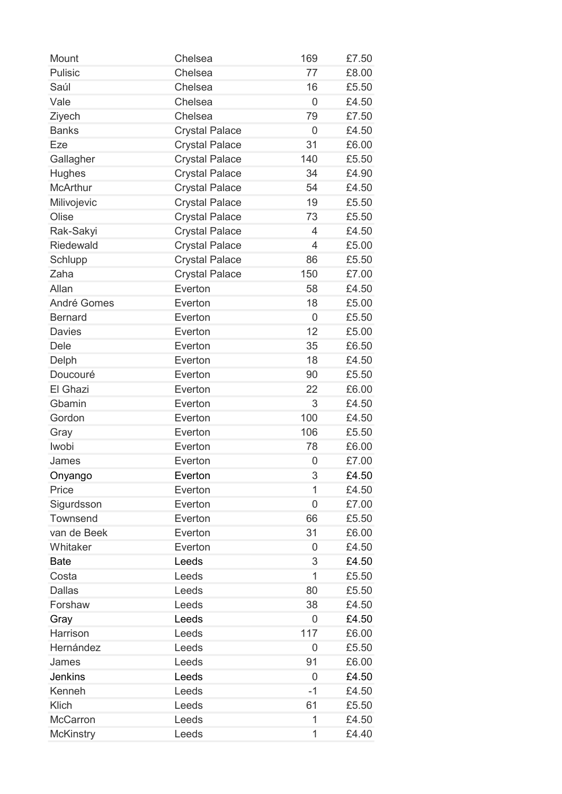| Mount              | Chelsea               | 169            | £7.50 |
|--------------------|-----------------------|----------------|-------|
| <b>Pulisic</b>     | Chelsea               | 77             | £8.00 |
| Saúl               | Chelsea               | 16             | £5.50 |
| Vale               | Chelsea               | 0              | £4.50 |
| Ziyech             | Chelsea               | 79             | £7.50 |
| <b>Banks</b>       | <b>Crystal Palace</b> | $\overline{0}$ | £4.50 |
| Eze                | <b>Crystal Palace</b> | 31             | £6.00 |
| Gallagher          | <b>Crystal Palace</b> | 140            | £5.50 |
| <b>Hughes</b>      | <b>Crystal Palace</b> | 34             | £4.90 |
| <b>McArthur</b>    | <b>Crystal Palace</b> | 54             | £4.50 |
| Milivojevic        | <b>Crystal Palace</b> | 19             | £5.50 |
| Olise              | <b>Crystal Palace</b> | 73             | £5.50 |
| Rak-Sakyi          | <b>Crystal Palace</b> | 4              | £4.50 |
| <b>Riedewald</b>   | <b>Crystal Palace</b> | $\overline{4}$ | £5.00 |
| Schlupp            | <b>Crystal Palace</b> | 86             | £5.50 |
| Zaha               | <b>Crystal Palace</b> | 150            | £7.00 |
| Allan              | Everton               | 58             | £4.50 |
| <b>André Gomes</b> | Everton               | 18             | £5.00 |
| <b>Bernard</b>     | Everton               | 0              | £5.50 |
| <b>Davies</b>      | Everton               | 12             | £5.00 |
| Dele               | Everton               | 35             | £6.50 |
| Delph              | Everton               | 18             | £4.50 |
| Doucouré           | Everton               | 90             | £5.50 |
| El Ghazi           | Everton               | 22             | £6.00 |
| Gbamin             | Everton               | 3              | £4.50 |
| Gordon             | Everton               | 100            | £4.50 |
| Gray               | Everton               | 106            | £5.50 |
| Iwobi              | Everton               | 78             | £6.00 |
| James              | Everton               | 0              | £7.00 |
| Onyango            | Everton               | 3              | £4.50 |
| Price              | Everton               | 1              | £4.50 |
| Sigurdsson         | Everton               | 0              | £7.00 |
| Townsend           | Everton               | 66             | £5.50 |
| van de Beek        | Everton               | 31             | £6.00 |
| Whitaker           | Everton               | 0              | £4.50 |
| <b>Bate</b>        | Leeds                 | 3              | £4.50 |
| Costa              | Leeds                 | 1              | £5.50 |
| <b>Dallas</b>      | Leeds                 | 80             | £5.50 |
| Forshaw            | Leeds                 | 38             | £4.50 |
| Gray               | Leeds                 | $\overline{0}$ | £4.50 |
| Harrison           | Leeds                 | 117            | £6.00 |
| Hernández          | Leeds                 | 0              | £5.50 |
| James              | Leeds                 | 91             | £6.00 |
| <b>Jenkins</b>     | Leeds                 | $\overline{0}$ | £4.50 |
| Kenneh             | Leeds                 | -1             | £4.50 |
| Klich              | Leeds                 | 61             | £5.50 |
| <b>McCarron</b>    | Leeds                 | 1              | £4.50 |
| <b>McKinstry</b>   | Leeds                 | 1              | £4.40 |
|                    |                       |                |       |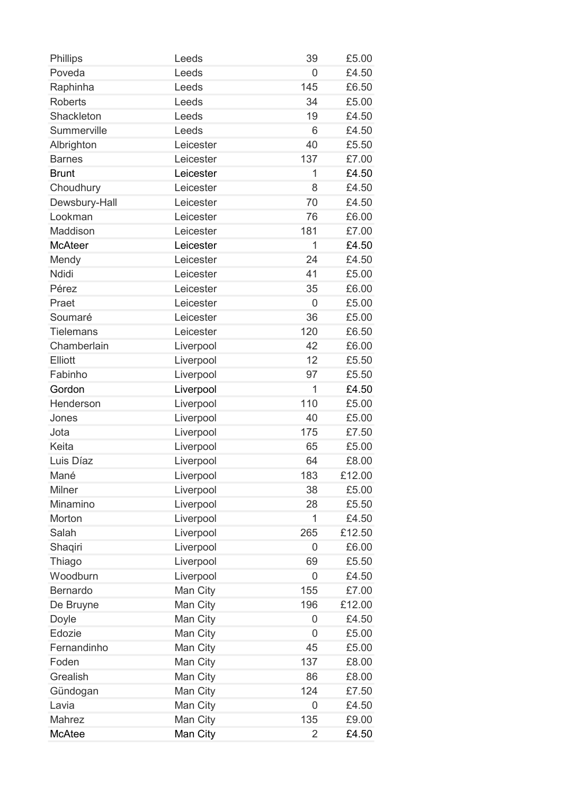| Phillips          | Leeds                | 39             | £5.00  |
|-------------------|----------------------|----------------|--------|
| Poveda            | Leeds                | $\overline{0}$ | £4.50  |
| Raphinha          | Leeds                | 145            | £6.50  |
| <b>Roberts</b>    | Leeds                | 34             | £5.00  |
| Shackleton        | Leeds                | 19             | £4.50  |
| Summerville       | Leeds                | 6              | £4.50  |
| Albrighton        | Leicester            | 40             | £5.50  |
| <b>Barnes</b>     | Leicester            | 137            | £7.00  |
| <b>Brunt</b>      | Leicester            | 1              | £4.50  |
| Choudhury         | Leicester            | 8              | £4.50  |
| Dewsbury-Hall     | Leicester            | 70             | £4.50  |
| Lookman           | Leicester            | 76             | £6.00  |
| Maddison          | Leicester            | 181            | £7.00  |
| <b>McAteer</b>    | Leicester            | 1              | £4.50  |
| Mendy             | Leicester            | 24             | £4.50  |
| <b>Ndidi</b>      | Leicester            | 41             | £5.00  |
| Pérez             | Leicester            | 35             | £6.00  |
| Praet             | Leicester            | $\overline{0}$ | £5.00  |
| Soumaré           | Leicester            | 36             | £5.00  |
| <b>Tielemans</b>  | Leicester            | 120            | £6.50  |
| Chamberlain       | Liverpool            | 42             | £6.00  |
| Elliott           | Liverpool            | 12             | £5.50  |
| Fabinho           | Liverpool            | 97             | £5.50  |
| Gordon            | Liverpool            | 1              | £4.50  |
| Henderson         | Liverpool            | 110            | £5.00  |
| Jones             | Liverpool            | 40             | £5.00  |
| Jota              | Liverpool            | 175            | £7.50  |
| Keita             | Liverpool            | 65             | £5.00  |
| Luis Díaz         | Liverpool            | 64             | £8.00  |
| Mané              | Liverpool            | 183            | £12.00 |
| Milner            | Liverpool            | 38             | £5.00  |
| Minamino          | Liverpool            | 28             | £5.50  |
| Morton            | Liverpool            | 1              | £4.50  |
| Salah             | Liverpool            | 265            | £12.50 |
| Shaqiri           | Liverpool            | 0              | £6.00  |
| Thiago            | Liverpool            | 69             | £5.50  |
| Woodburn          | Liverpool            | $\overline{0}$ | £4.50  |
| <b>Bernardo</b>   | Man City             | 155            | £7.00  |
| De Bruyne         | Man City             | 196            | £12.00 |
| Doyle             | Man City             | 0              | £4.50  |
| Edozie            | Man City             | 0              | £5.00  |
| Fernandinho       | Man City             | 45             | £5.00  |
| Foden             |                      | 137            | £8.00  |
| Grealish          | Man City<br>Man City | 86             | £8.00  |
|                   |                      | 124            | £7.50  |
| Gündogan<br>Lavia | Man City             |                |        |
|                   | Man City             | 0              | £4.50  |
| Mahrez            | Man City             | 135            | £9.00  |
| McAtee            | Man City             | $\overline{2}$ | £4.50  |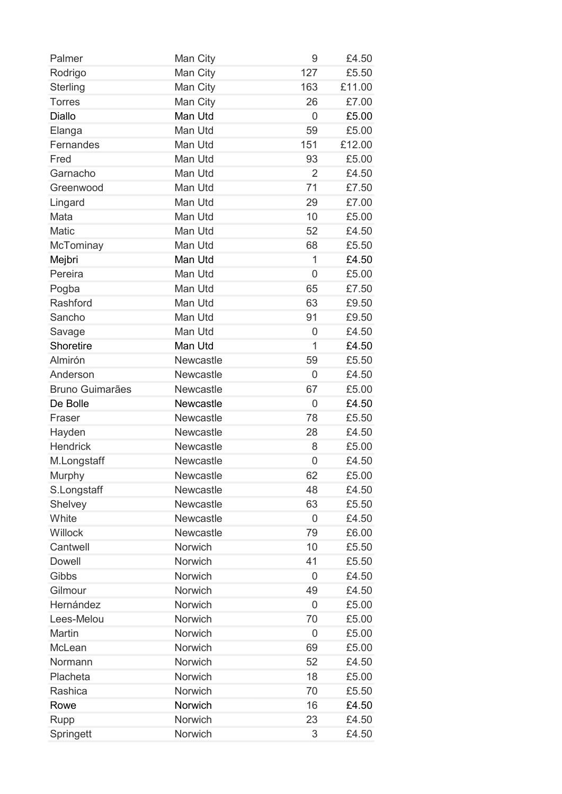| Palmer                 | Man City         | 9              | £4.50  |
|------------------------|------------------|----------------|--------|
| Rodrigo                | Man City         | 127            | £5.50  |
| <b>Sterling</b>        | Man City         | 163            | £11.00 |
| <b>Torres</b>          | Man City         | 26             | £7.00  |
| <b>Diallo</b>          | Man Utd          | $\overline{0}$ | £5.00  |
| Elanga                 | Man Utd          | 59             | £5.00  |
| Fernandes              | Man Utd          | 151            | £12.00 |
| Fred                   | Man Utd          | 93             | £5.00  |
| Garnacho               | Man Utd          | $\overline{2}$ | £4.50  |
| Greenwood              | Man Utd          | 71             | £7.50  |
| Lingard                | Man Utd          | 29             | £7.00  |
| Mata                   | Man Utd          | 10             | £5.00  |
| <b>Matic</b>           | Man Utd          | 52             | £4.50  |
| McTominay              | Man Utd          | 68             | £5.50  |
| Mejbri                 | Man Utd          | 1              | £4.50  |
| Pereira                | Man Utd          | $\overline{0}$ | £5.00  |
| Pogba                  | Man Utd          | 65             | £7.50  |
| Rashford               | Man Utd          | 63             | £9.50  |
| Sancho                 | Man Utd          | 91             | £9.50  |
| Savage                 | Man Utd          | $\overline{0}$ | £4.50  |
| Shoretire              | Man Utd          | 1              | £4.50  |
| Almirón                | Newcastle        | 59             | £5.50  |
| Anderson               | Newcastle        | 0              | £4.50  |
| <b>Bruno Guimarães</b> | Newcastle        | 67             | £5.00  |
| De Bolle               | Newcastle        | 0              | £4.50  |
| Fraser                 | Newcastle        | 78             | £5.50  |
| Hayden                 | Newcastle        | 28             | £4.50  |
| <b>Hendrick</b>        | Newcastle        | 8              | £5.00  |
| M.Longstaff            | Newcastle        | 0              | £4.50  |
| Murphy                 | Newcastle        | 62             | £5.00  |
| S.Longstaff            | <b>Newcastle</b> | 48             | £4.50  |
| Shelvey                | <b>Newcastle</b> | 63             | £5.50  |
| White                  | Newcastle        | $\overline{0}$ | £4.50  |
| Willock                | Newcastle        | 79             | £6.00  |
| Cantwell               | Norwich          | 10             | £5.50  |
| <b>Dowell</b>          | Norwich          | 41             | £5.50  |
| Gibbs                  | Norwich          | $\overline{0}$ | £4.50  |
| Gilmour                | Norwich          | 49             | £4.50  |
| Hernández              | Norwich          | 0              | £5.00  |
| Lees-Melou             | Norwich          | 70             | £5.00  |
| Martin                 | Norwich          | 0              | £5.00  |
| McLean                 | Norwich          | 69             | £5.00  |
| Normann                | Norwich          | 52             | £4.50  |
| Placheta               | Norwich          | 18             | £5.00  |
| Rashica                | Norwich          | 70             | £5.50  |
| Rowe                   | Norwich          | 16             | £4.50  |
| Rupp                   | Norwich          | 23             | £4.50  |
| Springett              | Norwich          | 3              | £4.50  |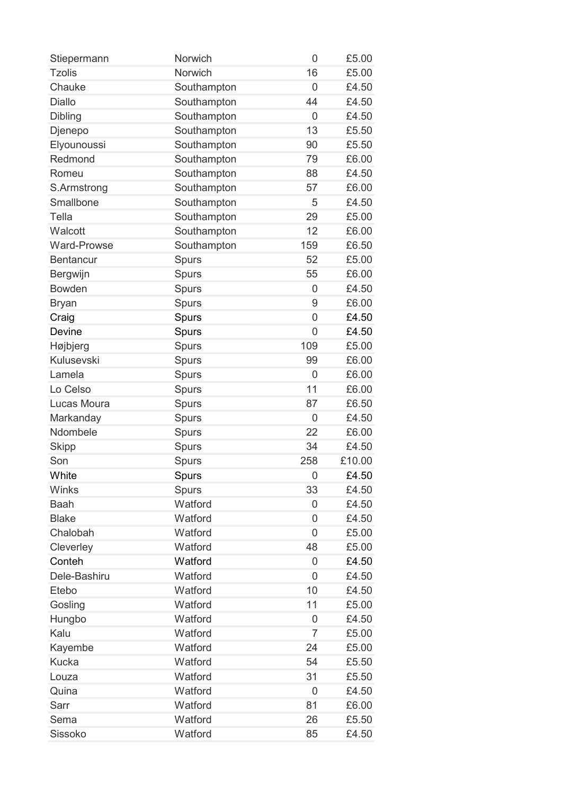| Stiepermann        | Norwich      | 0              | £5.00  |
|--------------------|--------------|----------------|--------|
| <b>Tzolis</b>      | Norwich      | 16             | £5.00  |
| Chauke             | Southampton  | 0              | £4.50  |
| <b>Diallo</b>      | Southampton  | 44             | £4.50  |
| <b>Dibling</b>     | Southampton  | 0              | £4.50  |
| Djenepo            | Southampton  | 13             | £5.50  |
| Elyounoussi        | Southampton  | 90             | £5.50  |
| Redmond            | Southampton  | 79             | £6.00  |
| Romeu              | Southampton  | 88             | £4.50  |
| S.Armstrong        | Southampton  | 57             | £6.00  |
| Smallbone          | Southampton  | 5              | £4.50  |
| Tella              | Southampton  | 29             | £5.00  |
| Walcott            | Southampton  | 12             | £6.00  |
| <b>Ward-Prowse</b> | Southampton  | 159            | £6.50  |
| <b>Bentancur</b>   | <b>Spurs</b> | 52             | £5.00  |
| Bergwijn           | <b>Spurs</b> | 55             | £6.00  |
| <b>Bowden</b>      | <b>Spurs</b> | 0              | £4.50  |
| <b>Bryan</b>       | Spurs        | 9              | £6.00  |
| Craig              | Spurs        | 0              | £4.50  |
| Devine             | Spurs        | 0              | £4.50  |
| Højbjerg           | Spurs        | 109            | £5.00  |
| Kulusevski         | Spurs        | 99             | £6.00  |
| Lamela             | Spurs        | 0              | £6.00  |
| Lo Celso           | Spurs        | 11             | £6.00  |
| Lucas Moura        | Spurs        | 87             | £6.50  |
| Markanday          | <b>Spurs</b> | 0              | £4.50  |
| Ndombele           | Spurs        | 22             | £6.00  |
| <b>Skipp</b>       | Spurs        | 34             | £4.50  |
| Son                | <b>Spurs</b> | 258            | £10.00 |
| White              | Spurs        | 0              | £4.50  |
| Winks              | Spurs        | 33             | £4.50  |
| <b>Baah</b>        | Watford      | 0              | £4.50  |
| <b>Blake</b>       | Watford      | 0              | £4.50  |
| Chalobah           | Watford      | 0              | £5.00  |
| Cleverley          | Watford      | 48             | £5.00  |
| Conteh             | Watford      | 0              | £4.50  |
| Dele-Bashiru       | Watford      | 0              | £4.50  |
| Etebo              | Watford      | 10             | £4.50  |
| Gosling            | Watford      | 11             | £5.00  |
| Hungbo             | Watford      | 0              | £4.50  |
| Kalu               | Watford      | $\overline{7}$ | £5.00  |
| Kayembe            | Watford      | 24             | £5.00  |
| <b>Kucka</b>       | Watford      | 54             | £5.50  |
| Louza              | Watford      | 31             | £5.50  |
| Quina              | Watford      | 0              | £4.50  |
| Sarr               | Watford      | 81             | £6.00  |
| Sema               | Watford      | 26             | £5.50  |
| Sissoko            | Watford      | 85             | £4.50  |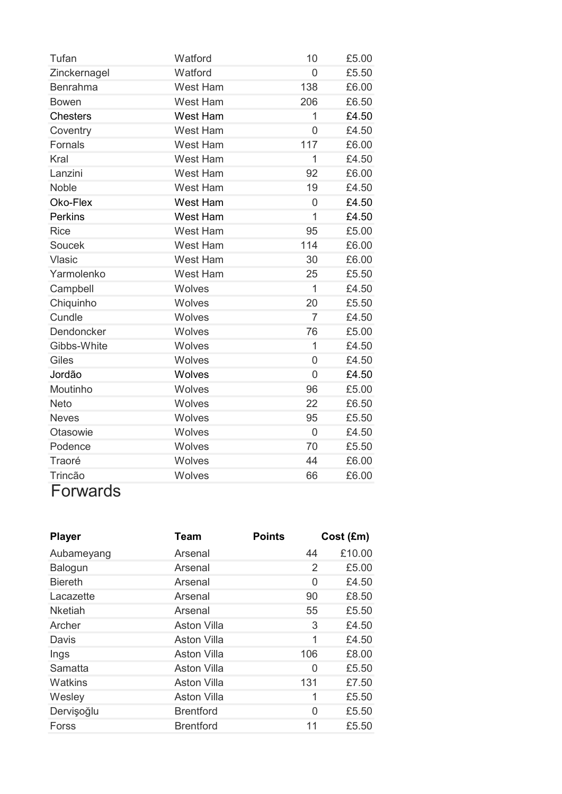| Tufan           | Watford         | 10             | £5.00 |
|-----------------|-----------------|----------------|-------|
| Zinckernagel    | Watford         | $\overline{0}$ | £5.50 |
| <b>Benrahma</b> | <b>West Ham</b> | 138            | £6.00 |
| <b>Bowen</b>    | <b>West Ham</b> | 206            | £6.50 |
| <b>Chesters</b> | West Ham        | 1              | £4.50 |
| Coventry        | West Ham        | $\overline{0}$ | £4.50 |
| Fornals         | West Ham        | 117            | £6.00 |
| Kral            | <b>West Ham</b> | $\overline{1}$ | £4.50 |
| Lanzini         | <b>West Ham</b> | 92             | £6.00 |
| <b>Noble</b>    | West Ham        | 19             | £4.50 |
| Oko-Flex        | West Ham        | 0              | £4.50 |
| <b>Perkins</b>  | West Ham        | $\overline{1}$ | £4.50 |
| <b>Rice</b>     | <b>West Ham</b> | 95             | £5.00 |
| Soucek          | <b>West Ham</b> | 114            | £6.00 |
| Vlasic          | <b>West Ham</b> | 30             | £6.00 |
| Yarmolenko      | West Ham        | 25             | £5.50 |
| Campbell        | Wolves          | 1              | £4.50 |
| Chiquinho       | Wolves          | 20             | £5.50 |
| Cundle          | Wolves          | 7              | £4.50 |
| Dendoncker      | Wolves          | 76             | £5.00 |
| Gibbs-White     | Wolves          | 1              | £4.50 |
| Giles           | Wolves          | $\overline{0}$ | £4.50 |
| Jordão          | Wolves          | $\overline{0}$ | £4.50 |
| Moutinho        | Wolves          | 96             | £5.00 |
| Neto            | Wolves          | 22             | £6.50 |
| <b>Neves</b>    | Wolves          | 95             | £5.50 |
| Otasowie        | Wolves          | $\overline{0}$ | £4.50 |
| Podence         | Wolves          | 70             | £5.50 |
| Traoré          | Wolves          | 44             | £6.00 |
| Trincão         | Wolves          | 66             | £6.00 |

## Forwards

| Team               | <b>Points</b> | Cost (Em)              |
|--------------------|---------------|------------------------|
| Arsenal            |               | £10.00<br>44           |
| Arsenal            |               | £5.00<br>$\mathcal{P}$ |
| Arsenal            |               | £4.50<br>0             |
| Arsenal            |               | £8.50<br>90            |
| Arsenal            |               | £5.50<br>55            |
| <b>Aston Villa</b> |               | 3<br>£4.50             |
| <b>Aston Villa</b> |               | 1<br>£4.50             |
| <b>Aston Villa</b> |               | £8.00                  |
| <b>Aston Villa</b> |               | £5.50<br>0             |
| <b>Aston Villa</b> |               | £7.50                  |
| <b>Aston Villa</b> |               | 1<br>£5.50             |
| <b>Brentford</b>   |               | £5.50<br>$\Omega$      |
| <b>Brentford</b>   |               | £5.50<br>11            |
|                    |               | 106<br>131             |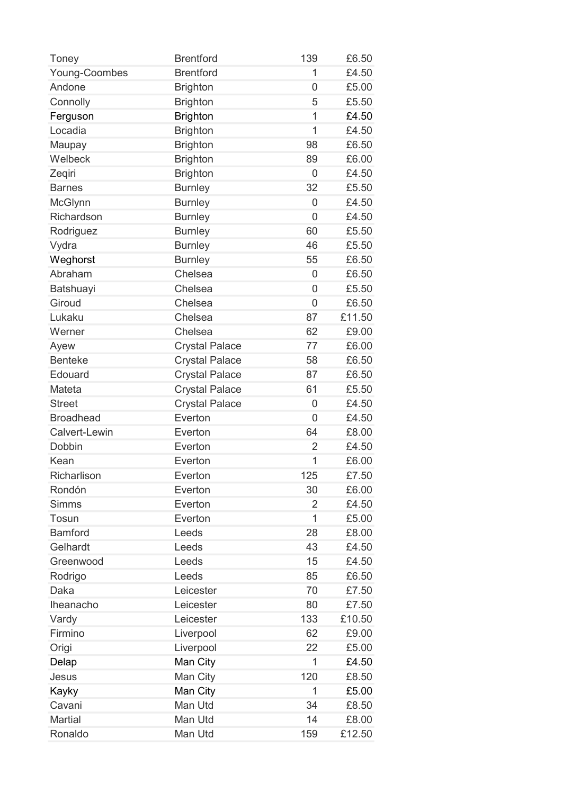| Toney                | <b>Brentford</b>      | 139            | £6.50  |
|----------------------|-----------------------|----------------|--------|
| Young-Coombes        | <b>Brentford</b>      | 1              | £4.50  |
| Andone               | <b>Brighton</b>       | $\overline{0}$ | £5.00  |
| Connolly             | <b>Brighton</b>       | 5              | £5.50  |
| Ferguson             | <b>Brighton</b>       | 1              | £4.50  |
| Locadia              | <b>Brighton</b>       | 1              | £4.50  |
| Maupay               | <b>Brighton</b>       | 98             | £6.50  |
| Welbeck              | <b>Brighton</b>       | 89             | £6.00  |
| Zeqiri               | <b>Brighton</b>       | 0              | £4.50  |
| <b>Barnes</b>        | <b>Burnley</b>        | 32             | £5.50  |
| McGlynn              | <b>Burnley</b>        | 0              | £4.50  |
| Richardson           | <b>Burnley</b>        | $\overline{0}$ | £4.50  |
| Rodriguez            | <b>Burnley</b>        | 60             | £5.50  |
| Vydra                | <b>Burnley</b>        | 46             | £5.50  |
| Weghorst             | <b>Burnley</b>        | 55             | £6.50  |
| Abraham              | Chelsea               | $\overline{0}$ | £6.50  |
| Batshuayi            | Chelsea               | 0              | £5.50  |
| Giroud               | Chelsea               | $\overline{0}$ | £6.50  |
| Lukaku               | Chelsea               | 87             | £11.50 |
| Werner               | Chelsea               | 62             | £9.00  |
| Ayew                 | <b>Crystal Palace</b> | 77             | £6.00  |
| <b>Benteke</b>       | <b>Crystal Palace</b> | 58             | £6.50  |
| Edouard              | <b>Crystal Palace</b> | 87             | £6.50  |
| Mateta               | <b>Crystal Palace</b> | 61             | £5.50  |
| <b>Street</b>        | <b>Crystal Palace</b> | 0              | £4.50  |
| <b>Broadhead</b>     | Everton               | 0              | £4.50  |
| <b>Calvert-Lewin</b> | Everton               | 64             | £8.00  |
| Dobbin               | Everton               | $\overline{2}$ | £4.50  |
| Kean                 | Everton               | 1              | £6.00  |
| Richarlison          | Everton               | 125            | £7.50  |
| Rondón               | Everton               | 30             | £6.00  |
| <b>Simms</b>         | Everton               | 2              | £4.50  |
| Tosun                | Everton               | 1              | £5.00  |
| <b>Bamford</b>       | Leeds                 | 28             | £8.00  |
| Gelhardt             | Leeds                 | 43             | £4.50  |
| Greenwood            | Leeds                 | 15             | £4.50  |
| Rodrigo              | Leeds                 | 85             | £6.50  |
| Daka                 | Leicester             | 70             | £7.50  |
| Iheanacho            | Leicester             | 80             | £7.50  |
| Vardy                | Leicester             | 133            | £10.50 |
| Firmino              | Liverpool             | 62             | £9.00  |
| Origi                | Liverpool             | 22             | £5.00  |
| Delap                | Man City              | 1              | £4.50  |
| Jesus                | Man City              | 120            | £8.50  |
| Kayky                | Man City              | 1              | £5.00  |
| Cavani               | Man Utd               | 34             | £8.50  |
| <b>Martial</b>       | Man Utd               | 14             | £8.00  |
| Ronaldo              | Man Utd               | 159            | £12.50 |